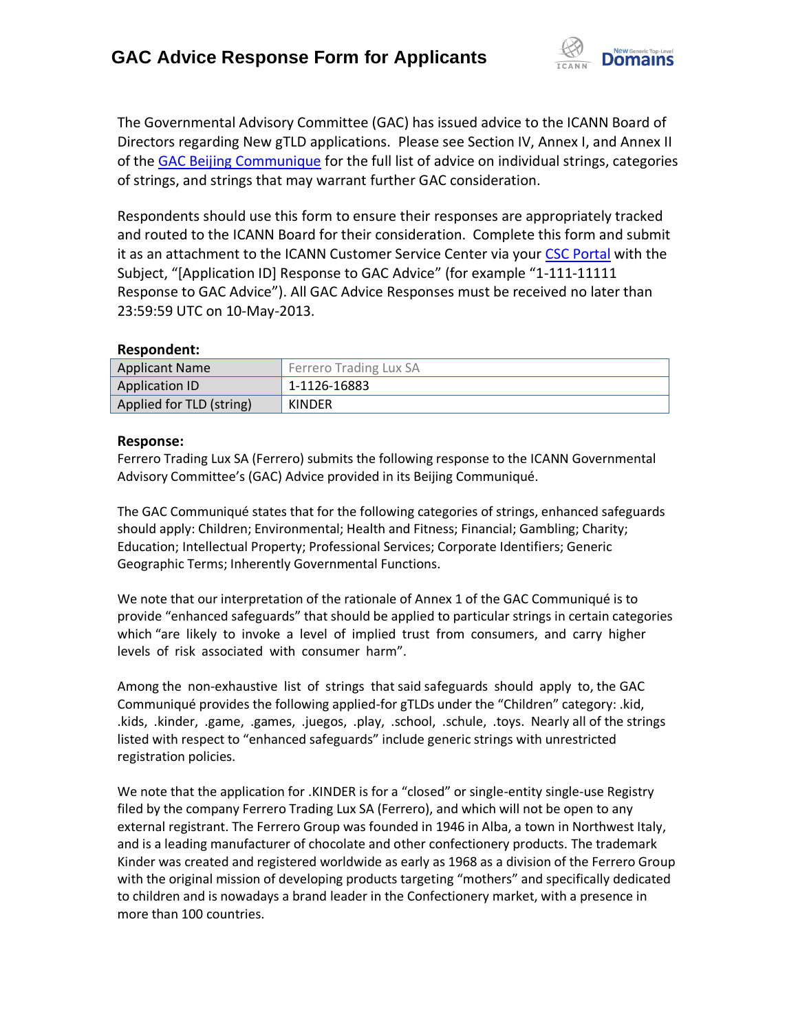

The Governmental Advisory Committee (GAC) has issued advice to the ICANN Board of Directors regarding New gTLD applications. Please see Section IV, Annex I, and Annex II of the [GAC Beijing Communique](http://www.icann.org/en/news/correspondence/gac-to-board-18apr13-en.pdf) for the full list of advice on individual strings, categories of strings, and strings that may warrant further GAC consideration.

Respondents should use this form to ensure their responses are appropriately tracked and routed to the ICANN Board for their consideration. Complete this form and submit it as an attachment to the ICANN Customer Service Center via your CSC [Portal](https://myicann.secure.force.com/) with the Subject, "[Application ID] Response to GAC Advice" (for example "1-111-11111 Response to GAC Advice"). All GAC Advice Responses must be received no later than 23:59:59 UTC on 10-May-2013.

## **Respondent:**

| <b>Applicant Name</b>    | Ferrero Trading Lux SA |
|--------------------------|------------------------|
| Application ID           | 1-1126-16883           |
| Applied for TLD (string) | <b>KINDER</b>          |

## **Response:**

Ferrero Trading Lux SA (Ferrero) submits the following response to the ICANN Governmental Advisory Committee's (GAC) Advice provided in its Beijing Communiqué.

The GAC Communiqué states that for the following categories of strings, enhanced safeguards should apply: Children; Environmental; Health and Fitness; Financial; Gambling; Charity; Education; Intellectual Property; Professional Services; Corporate Identifiers; Generic Geographic Terms; Inherently Governmental Functions.

We note that our interpretation of the rationale of Annex 1 of the GAC Communiqué is to provide "enhanced safeguards" that should be applied to particular strings in certain categories which "are likely to invoke a level of implied trust from consumers, and carry higher levels of risk associated with consumer harm".

Among the non-exhaustive list of strings that said safeguards should apply to, the GAC Communiqué provides the following applied-for gTLDs under the "Children" category: .kid, .kids, .kinder, .game, .games, .juegos, .play, .school, .schule, .toys. Nearly all of the strings listed with respect to "enhanced safeguards" include generic strings with unrestricted registration policies.

We note that the application for .KINDER is for a "closed" or single-entity single-use Registry filed by the company Ferrero Trading Lux SA (Ferrero), and which will not be open to any external registrant. The Ferrero Group was founded in 1946 in Alba, a town in Northwest Italy, and is a leading manufacturer of chocolate and other confectionery products. The trademark Kinder was created and registered worldwide as early as 1968 as a division of the Ferrero Group with the original mission of developing products targeting "mothers" and specifically dedicated to children and is nowadays a brand leader in the Confectionery market, with a presence in more than 100 countries.